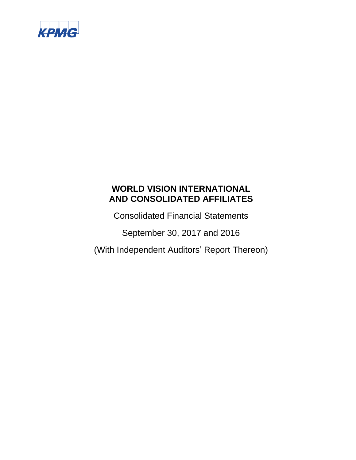

Consolidated Financial Statements

September 30, 2017 and 2016

(With Independent Auditors' Report Thereon)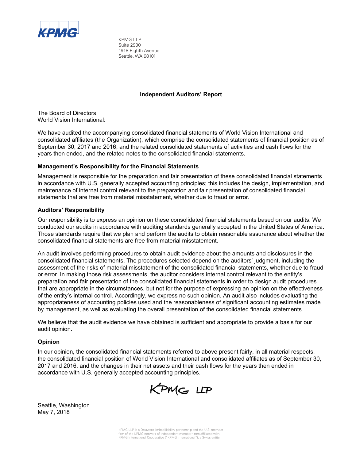

KPMG LLP Suite 2900 1918 Eighth Avenue Seattle, WA 98101

### **Independent Auditors' Report**

The Board of Directors World Vision International:

We have audited the accompanying consolidated financial statements of World Vision International and consolidated affiliates (the Organization), which comprise the consolidated statements of financial position as of September 30, 2017 and 2016, and the related consolidated statements of activities and cash flows for the years then ended, and the related notes to the consolidated financial statements.

# **Management's Responsibility for the Financial Statements**

Management is responsible for the preparation and fair presentation of these consolidated financial statements in accordance with U.S. generally accepted accounting principles; this includes the design, implementation, and maintenance of internal control relevant to the preparation and fair presentation of consolidated financial statements that are free from material misstatement, whether due to fraud or error.

### **Auditors' Responsibility**

Our responsibility is to express an opinion on these consolidated financial statements based on our audits. We conducted our audits in accordance with auditing standards generally accepted in the United States of America. Those standards require that we plan and perform the audits to obtain reasonable assurance about whether the consolidated financial statements are free from material misstatement.

An audit involves performing procedures to obtain audit evidence about the amounts and disclosures in the consolidated financial statements. The procedures selected depend on the auditors' judgment, including the assessment of the risks of material misstatement of the consolidated financial statements, whether due to fraud or error. In making those risk assessments, the auditor considers internal control relevant to the entity's preparation and fair presentation of the consolidated financial statements in order to design audit procedures that are appropriate in the circumstances, but not for the purpose of expressing an opinion on the effectiveness of the entity's internal control. Accordingly, we express no such opinion. An audit also includes evaluating the appropriateness of accounting policies used and the reasonableness of significant accounting estimates made by management, as well as evaluating the overall presentation of the consolidated financial statements.

We believe that the audit evidence we have obtained is sufficient and appropriate to provide a basis for our audit opinion.

# **Opinion**

In our opinion, the consolidated financial statements referred to above present fairly, in all material respects, the consolidated financial position of World Vision International and consolidated affiliates as of September 30, 2017 and 2016, and the changes in their net assets and their cash flows for the years then ended in accordance with U.S. generally accepted accounting principles.



Seattle, Washington May 7, 2018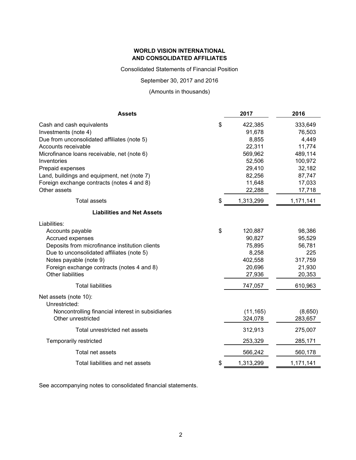Consolidated Statements of Financial Position

September 30, 2017 and 2016

(Amounts in thousands)

| <b>Assets</b>                                     | 2017            | 2016      |
|---------------------------------------------------|-----------------|-----------|
| Cash and cash equivalents                         | \$<br>422,385   | 333,649   |
| Investments (note 4)                              | 91,678          | 76,503    |
| Due from unconsolidated affiliates (note 5)       | 8,855           | 4,449     |
| Accounts receivable                               | 22,311          | 11,774    |
| Microfinance loans receivable, net (note 6)       | 569,962         | 489,114   |
| Inventories                                       | 52,506          | 100,972   |
| Prepaid expenses                                  | 29,410          | 32,182    |
| Land, buildings and equipment, net (note 7)       | 82,256          | 87,747    |
| Foreign exchange contracts (notes 4 and 8)        | 11,648          | 17,033    |
| Other assets                                      | 22,288          | 17,718    |
| <b>Total assets</b>                               | \$<br>1,313,299 | 1,171,141 |
| <b>Liabilities and Net Assets</b>                 |                 |           |
| Liabilities:                                      |                 |           |
| Accounts payable                                  | \$<br>120,887   | 98,386    |
| Accrued expenses                                  | 90,827          | 95,529    |
| Deposits from microfinance institution clients    | 75,895          | 56,781    |
| Due to unconsolidated affiliates (note 5)         | 8,258           | 225       |
| Notes payable (note 9)                            | 402,558         | 317,759   |
| Foreign exchange contracts (notes 4 and 8)        | 20,696          | 21,930    |
| <b>Other liabilities</b>                          | 27,936          | 20,353    |
| <b>Total liabilities</b>                          | 747,057         | 610,963   |
| Net assets (note 10):                             |                 |           |
| Unrestricted:                                     |                 |           |
| Noncontrolling financial interest in subsidiaries | (11, 165)       | (8,650)   |
| Other unrestricted                                | 324,078         | 283,657   |
| Total unrestricted net assets                     | 312,913         | 275,007   |
| <b>Temporarily restricted</b>                     | 253,329         | 285,171   |
| Total net assets                                  | 566,242         | 560,178   |
| Total liabilities and net assets                  | \$<br>1,313,299 | 1,171,141 |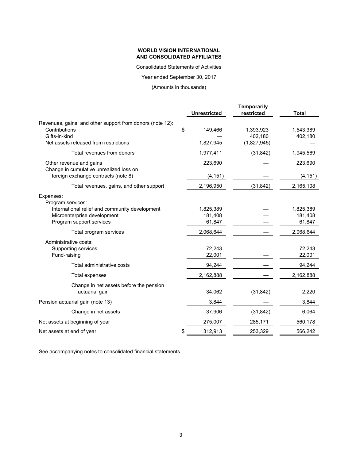Consolidated Statements of Activities

Year ended September 30, 2017

(Amounts in thousands)

|                                                                                                                                      | <b>Unrestricted</b>        | <b>Temporarily</b><br>restricted    | <b>Total</b>         |
|--------------------------------------------------------------------------------------------------------------------------------------|----------------------------|-------------------------------------|----------------------|
| Revenues, gains, and other support from donors (note 12):<br>Contributions<br>Gifts-in-kind<br>Net assets released from restrictions | \$<br>149,466<br>1,827,945 | 1,393,923<br>402,180<br>(1,827,945) | 1,543,389<br>402,180 |
| Total revenues from donors                                                                                                           | 1,977,411                  | (31, 842)                           | 1,945,569            |
| Other revenue and gains<br>Change in cumulative unrealized loss on                                                                   | 223,690                    |                                     | 223,690              |
| foreign exchange contracts (note 8)                                                                                                  | (4, 151)                   |                                     | (4, 151)             |
| Total revenues, gains, and other support                                                                                             | 2,196,950                  | (31, 842)                           | 2,165,108            |
| Expenses:<br>Program services:                                                                                                       |                            |                                     |                      |
| International relief and community development                                                                                       | 1,825,389                  |                                     | 1,825,389            |
| Microenterprise development                                                                                                          | 181,408                    |                                     | 181,408              |
| Program support services                                                                                                             | 61,847                     |                                     | 61,847               |
| Total program services                                                                                                               | 2,068,644                  |                                     | 2,068,644            |
| Administrative costs:<br>Supporting services<br>Fund-raising                                                                         | 72,243<br>22,001           |                                     | 72,243<br>22,001     |
| Total administrative costs                                                                                                           | 94,244                     |                                     | 94,244               |
| Total expenses                                                                                                                       | 2,162,888                  |                                     | 2,162,888            |
| Change in net assets before the pension<br>actuarial gain                                                                            | 34,062                     | (31, 842)                           | 2,220                |
| Pension actuarial gain (note 13)                                                                                                     | 3,844                      |                                     | 3,844                |
| Change in net assets                                                                                                                 | 37,906                     | (31, 842)                           | 6,064                |
| Net assets at beginning of year                                                                                                      | 275,007                    | 285,171                             | 560,178              |
| Net assets at end of year                                                                                                            | \$<br>312,913              | 253,329                             | 566,242              |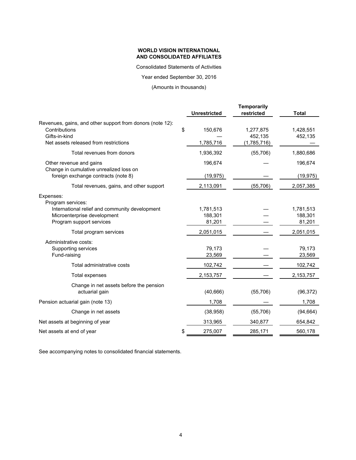Consolidated Statements of Activities

Year ended September 30, 2016

(Amounts in thousands)

|                                                                                                                                      | <b>Unrestricted</b>            | <b>Temporarily</b><br>restricted    | <b>Total</b>                   |
|--------------------------------------------------------------------------------------------------------------------------------------|--------------------------------|-------------------------------------|--------------------------------|
| Revenues, gains, and other support from donors (note 12):<br>Contributions<br>Gifts-in-kind<br>Net assets released from restrictions | \$<br>150,676<br>1,785,716     | 1,277,875<br>452,135<br>(1,785,716) | 1,428,551<br>452,135           |
| Total revenues from donors                                                                                                           | 1,936,392                      | (55,706)                            | 1,880,686                      |
| Other revenue and gains<br>Change in cumulative unrealized loss on                                                                   | 196,674                        |                                     | 196,674                        |
| foreign exchange contracts (note 8)                                                                                                  | (19, 975)                      |                                     | (19, 975)                      |
| Total revenues, gains, and other support                                                                                             | 2,113,091                      | (55, 706)                           | 2,057,385                      |
| Expenses:<br>Program services:                                                                                                       |                                |                                     |                                |
| International relief and community development<br>Microenterprise development<br>Program support services                            | 1,781,513<br>188,301<br>81,201 |                                     | 1,781,513<br>188,301<br>81,201 |
| Total program services                                                                                                               | 2,051,015                      |                                     | 2,051,015                      |
| Administrative costs:<br>Supporting services<br>Fund-raising                                                                         | 79,173<br>23,569               |                                     | 79,173<br>23,569               |
| Total administrative costs                                                                                                           | 102,742                        |                                     | 102,742                        |
| <b>Total expenses</b>                                                                                                                | 2,153,757                      |                                     | 2,153,757                      |
| Change in net assets before the pension<br>actuarial gain                                                                            | (40, 666)                      | (55, 706)                           | (96, 372)                      |
| Pension actuarial gain (note 13)                                                                                                     | 1,708                          |                                     | 1,708                          |
| Change in net assets                                                                                                                 | (38, 958)                      | (55,706)                            | (94, 664)                      |
| Net assets at beginning of year                                                                                                      | 313,965                        | 340,877                             | 654,842                        |
| Net assets at end of year                                                                                                            | \$<br>275,007                  | 285,171                             | 560,178                        |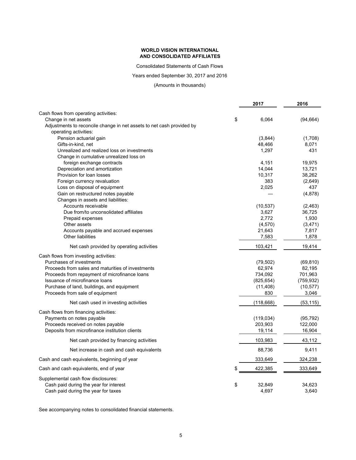Consolidated Statements of Cash Flows

Years ended September 30, 2017 and 2016

(Amounts in thousands)

|                                                                       | 2017          | 2016             |
|-----------------------------------------------------------------------|---------------|------------------|
| Cash flows from operating activities:                                 |               |                  |
| Change in net assets                                                  | \$<br>6,064   | (94, 664)        |
| Adjustments to reconcile change in net assets to net cash provided by |               |                  |
| operating activities:                                                 |               |                  |
| Pension actuarial gain                                                | (3,844)       | (1,708)          |
| Gifts-in-kind, net                                                    | 48,466        | 8,071            |
| Unrealized and realized loss on investments                           | 1,297         | 431              |
| Change in cumulative unrealized loss on                               |               |                  |
| foreign exchange contracts                                            | 4,151         | 19,975           |
| Depreciation and amortization<br>Provision for loan losses            | 14,044        | 13,721<br>38,262 |
| Foreign currency revaluation                                          | 10,317<br>383 | (2,649)          |
| Loss on disposal of equipment                                         | 2,025         | 437              |
| Gain on restructured notes payable                                    |               | (4,878)          |
| Changes in assets and liabilities:                                    |               |                  |
| Accounts receivable                                                   | (10, 537)     | (2, 463)         |
| Due from/to unconsolidated affiliates                                 | 3,627         | 36,725           |
| Prepaid expenses                                                      | 2,772         | 1,930            |
| Other assets                                                          | (4,570)       | (3,471)          |
| Accounts payable and accrued expenses                                 | 21,643        | 7,817            |
| Other liabilities                                                     | 7,583         | 1,878            |
| Net cash provided by operating activities                             | 103,421       | 19,414           |
| Cash flows from investing activities:                                 |               |                  |
| Purchases of investments                                              | (79, 502)     | (69, 810)        |
| Proceeds from sales and maturities of investments                     | 62,974        | 82,195           |
| Proceeds from repayment of microfinance loans                         | 734,092       | 701,963          |
| Issuance of microfinance loans                                        | (825, 654)    | (759, 932)       |
| Purchase of land, buildings, and equipment                            | (11, 408)     | (10, 577)        |
| Proceeds from sale of equipment                                       | 830           | 3,046            |
| Net cash used in investing activities                                 | (118, 668)    | (53,115)         |
| Cash flows from financing activities:                                 |               |                  |
| Payments on notes payable                                             | (119, 034)    | (95, 792)        |
| Proceeds received on notes payable                                    | 203,903       | 122,000          |
| Deposits from microfinance institution clients                        | 19,114        | 16,904           |
| Net cash provided by financing activities                             | 103,983       | 43,112           |
| Net increase in cash and cash equivalents                             | 88,736        | 9,411            |
| Cash and cash equivalents, beginning of year                          | 333,649       | 324,238          |
| Cash and cash equivalents, end of year                                | \$<br>422,385 | 333,649          |
| Supplemental cash flow disclosures:                                   |               |                  |
| Cash paid during the year for interest                                | \$<br>32,849  | 34,623           |
| Cash paid during the year for taxes                                   | 4,697         | 3,640            |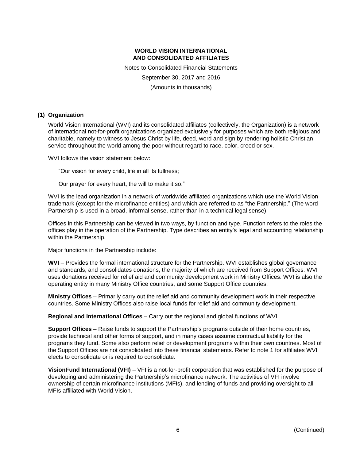Notes to Consolidated Financial Statements

September 30, 2017 and 2016 (Amounts in thousands)

# **(1) Organization**

World Vision International (WVI) and its consolidated affiliates (collectively, the Organization) is a network of international not-for-profit organizations organized exclusively for purposes which are both religious and charitable, namely to witness to Jesus Christ by life, deed, word and sign by rendering holistic Christian service throughout the world among the poor without regard to race, color, creed or sex.

WVI follows the vision statement below:

"Our vision for every child, life in all its fullness;

Our prayer for every heart, the will to make it so."

WVI is the lead organization in a network of worldwide affiliated organizations which use the World Vision trademark (except for the microfinance entities) and which are referred to as "the Partnership." (The word Partnership is used in a broad, informal sense, rather than in a technical legal sense).

Offices in this Partnership can be viewed in two ways, by function and type. Function refers to the roles the offices play in the operation of the Partnership. Type describes an entity's legal and accounting relationship within the Partnership.

Major functions in the Partnership include:

**WVI** – Provides the formal international structure for the Partnership. WVI establishes global governance and standards, and consolidates donations, the majority of which are received from Support Offices. WVI uses donations received for relief aid and community development work in Ministry Offices. WVI is also the operating entity in many Ministry Office countries, and some Support Office countries.

**Ministry Offices** – Primarily carry out the relief aid and community development work in their respective countries. Some Ministry Offices also raise local funds for relief aid and community development.

**Regional and International Offices** – Carry out the regional and global functions of WVI.

**Support Offices** – Raise funds to support the Partnership's programs outside of their home countries, provide technical and other forms of support, and in many cases assume contractual liability for the programs they fund. Some also perform relief or development programs within their own countries. Most of the Support Offices are not consolidated into these financial statements. Refer to note 1 for affiliates WVI elects to consolidate or is required to consolidate.

**VisionFund International (VFI)** – VFI is a not-for-profit corporation that was established for the purpose of developing and administering the Partnership's microfinance network. The activities of VFI involve ownership of certain microfinance institutions (MFIs), and lending of funds and providing oversight to all MFIs affiliated with World Vision.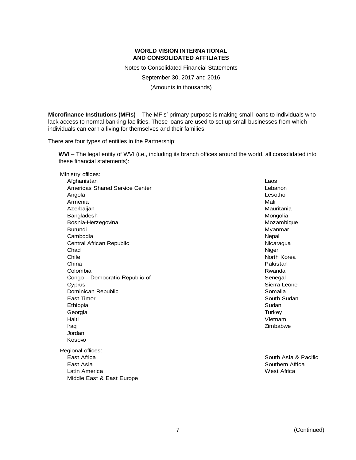Notes to Consolidated Financial Statements

September 30, 2017 and 2016

(Amounts in thousands)

**Microfinance Institutions (MFIs)** – The MFIs' primary purpose is making small loans to individuals who lack access to normal banking facilities. These loans are used to set up small businesses from which individuals can earn a living for themselves and their families.

There are four types of entities in the Partnership:

**WVI** – The legal entity of WVI (i.e., including its branch offices around the world, all consolidated into these financial statements):

Ministry offices: Afghanistan Laos Americas Shared Service Center **Lebanon** Lebanon Angola Lesotho Armenia **Mali** Azerbaijan Mauritania Bangladesh Mongolia Bosnia-Herzegovina **Mozambique et al. Annunciatus et al. Annunciatus et al. Annunciatus et al. Annunciatus et a** Burundi Myanmar (Museum Myanmar (Museum Myanmar (Museum Myanmar (Museum Myanmar (Museum Myanmar (Museum Myanma Cambodia Nepal Central African Republic Nicaragua Chad Niger and Chad Niger and Chad Niger and Chad Niger and Chad Niger and Chad Niger and Chad Niger **Chile** North Korea China Pakistan Colombia Rwanda Congo – Democratic Republic of Senegal Congo – Senegal **Cyprus** Sierra Leone Dominican Republic **Somalia** Somalia East Timor **South Sudan** Sullet Sudan Sudan Sudan Sudan Sudan Sudan Sudan Sudan Sudan Sudan Sudan Sudan Sudan Sudan Ethiopia Sudan Georgia Turkey Haiti Vietnam Iraq and *Iraq Zimbabwe* and *Iraq and Iraq and Iraq and Iraq and Iraq and Iraq and Iraq and Iraq and Iraq and Iraq and Iraq and Iraq and Iraq and Iraq and Iraq and Iraq and Iraq and Iraq and Iraq and Iraq and Iraq and Ira* Jordan Kosovo Regional offices: East Africa South Asia & Pacific

Middle East & East Europe

East Asia **Southern Africa** Southern Africa Latin America **Matter Africa** West Africa West Africa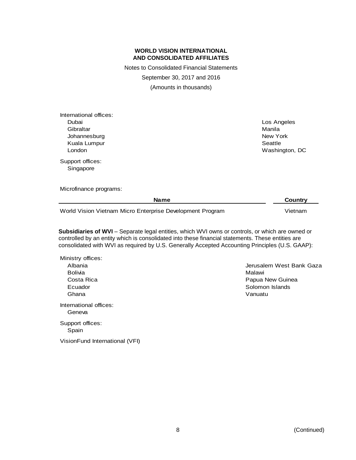Notes to Consolidated Financial Statements

September 30, 2017 and 2016 (Amounts in thousands)

International offices: Dubai **Los Angeles** Gibraltar Manila Johannesburg New York Kuala Lumpur Seattle London Washington, DC Support offices: Singapore Microfinance programs:

| <b>Name</b>                                               | Country |
|-----------------------------------------------------------|---------|
| World Vision Vietnam Micro Enterprise Development Program | Vietnam |

**Subsidiaries of WVI** – Separate legal entities, which WVI owns or controls, or which are owned or controlled by an entity which is consolidated into these financial statements. These entities are consolidated with WVI as required by U.S. Generally Accepted Accounting Principles (U.S. GAAP):

| Ministry offices:      |                          |
|------------------------|--------------------------|
| Albania                | Jerusalem West Bank Gaza |
| Bolivia                | Malawi                   |
| Costa Rica             | Papua New Guinea         |
| Ecuador                | Solomon Islands          |
| Ghana                  | Vanuatu                  |
| International offices: |                          |
| Geneva                 |                          |
| Support offices:       |                          |
| Spain                  |                          |
|                        |                          |

VisionFund International (VFI)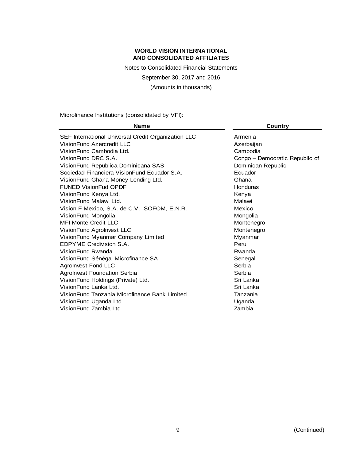Notes to Consolidated Financial Statements

September 30, 2017 and 2016

(Amounts in thousands)

Microfinance Institutions (consolidated by VFI):

| <b>Country</b>                 |  |  |
|--------------------------------|--|--|
| Armenia                        |  |  |
| Azerbaijan                     |  |  |
| Cambodia                       |  |  |
| Congo - Democratic Republic of |  |  |
| Dominican Republic             |  |  |
| Ecuador                        |  |  |
| Ghana                          |  |  |
| Honduras                       |  |  |
| Kenya                          |  |  |
| Malawi                         |  |  |
| Mexico                         |  |  |
| Mongolia                       |  |  |
| Montenegro                     |  |  |
| Montenegro                     |  |  |
| Myanmar                        |  |  |
| Peru                           |  |  |
| Rwanda                         |  |  |
| Senegal                        |  |  |
| Serbia                         |  |  |
| Serbia                         |  |  |
| Sri Lanka                      |  |  |
| Sri Lanka                      |  |  |
| Tanzania                       |  |  |
| Uganda                         |  |  |
| Zambia                         |  |  |
|                                |  |  |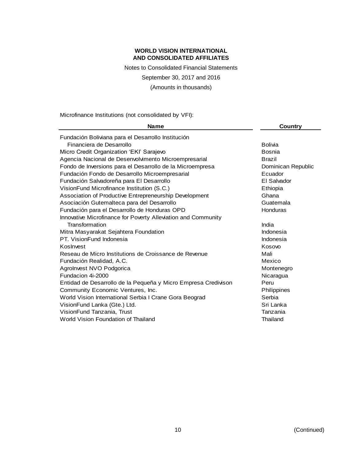Notes to Consolidated Financial Statements

September 30, 2017 and 2016

(Amounts in thousands)

Microfinance Institutions (not consolidated by VFI):

| <b>Name</b>                                                    | Country            |
|----------------------------------------------------------------|--------------------|
| Fundación Boliviana para el Desarrollo Institución             |                    |
| Financiera de Desarrollo                                       | <b>Bolivia</b>     |
| Micro Credit Organization 'EKI' Sarajevo                       | Bosnia             |
| Agencia Nacional de Desenvolvimento Microempresarial           | <b>Brazil</b>      |
| Fondo de Inversions para el Desarrollo de la Microempresa      | Dominican Republic |
| Fundación Fondo de Desarrollo Microempresarial                 | Ecuador            |
| Fundación Salvadoreña para El Desarrollo                       | El Salvador        |
| VisionFund Microfinance Institution (S.C.)                     | Ethiopia           |
| Association of Productive Entrepreneurship Development         | Ghana              |
| Asociación Gutemalteca para del Desarrollo                     | Guatemala          |
| Fundación para el Desarrollo de Honduras OPD                   | Honduras           |
| Innovative Microfinance for Poverty Alleviation and Community  |                    |
| Transformation                                                 | India              |
| Mitra Masyarakat Sejahtera Foundation                          | Indonesia          |
| PT. VisionFund Indonesia                                       | Indonesia          |
| Koslnyest                                                      | Kosovo             |
| Reseau de Micro Institutions de Croissance de Revenue          | Mali               |
| Fundación Realidad. A.C.                                       | Mexico             |
| Agrolnvest NVO Podgorica                                       | Montenegro         |
| Fundacion 4i-2000                                              | Nicaragua          |
| Entidad de Desarrollo de la Pequeña y Micro Empresa Credivison | Peru               |
| Community Economic Ventures, Inc.                              | <b>Philippines</b> |
| World Vision International Serbia I Crane Gora Beograd         | Serbia             |
| VisionFund Lanka (Gte.) Ltd.                                   | Sri Lanka          |
| VisionFund Tanzania, Trust                                     | Tanzania           |
| World Vision Foundation of Thailand                            | Thailand           |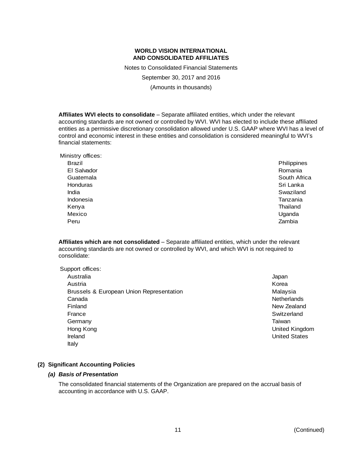Notes to Consolidated Financial Statements

September 30, 2017 and 2016

(Amounts in thousands)

**Affiliates WVI elects to consolidate** – Separate affiliated entities, which under the relevant accounting standards are not owned or controlled by WVI. WVI has elected to include these affiliated entities as a permissive discretionary consolidation allowed under U.S. GAAP where WVI has a level of control and economic interest in these entities and consolidation is considered meaningful to WVI's financial statements:

| Ministry offices: |              |
|-------------------|--------------|
| <b>Brazil</b>     | Philippines  |
| El Salvador       | Romania      |
| Guatemala         | South Africa |
| <b>Honduras</b>   | Sri Lanka    |
| India             | Swaziland    |
| Indonesia         | Tanzania     |
| Kenya             | Thailand     |
| Mexico            | Uganda       |
| Peru              | Zambia       |

**Affiliates which are not consolidated** – Separate affiliated entities, which under the relevant accounting standards are not owned or controlled by WVI, and which WVI is not required to consolidate:

| Support offices:                         |                  |
|------------------------------------------|------------------|
| Australia                                | Japan            |
| Austria                                  | Korea            |
| Brussels & European Union Representation | Malaysia         |
| Canada                                   | Netherlar        |
| <b>Finland</b>                           | New Zeal         |
| France                                   | Switzerla        |
| Germany                                  | Taiwan           |
| Hong Kong                                | United Ki        |
| Ireland                                  | <b>United St</b> |
| Italy                                    |                  |

**Netherlands** New Zealand Switzerland United Kingdom **United States** 

# **(2) Significant Accounting Policies**

### *(a) Basis of Presentation*

The consolidated financial statements of the Organization are prepared on the accrual basis of accounting in accordance with U.S. GAAP.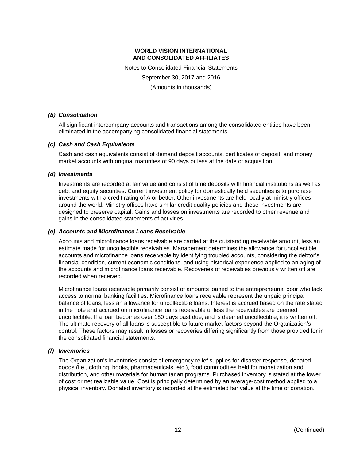Notes to Consolidated Financial Statements

September 30, 2017 and 2016

(Amounts in thousands)

### *(b) Consolidation*

All significant intercompany accounts and transactions among the consolidated entities have been eliminated in the accompanying consolidated financial statements.

### *(c) Cash and Cash Equivalents*

Cash and cash equivalents consist of demand deposit accounts, certificates of deposit, and money market accounts with original maturities of 90 days or less at the date of acquisition.

### *(d) Investments*

Investments are recorded at fair value and consist of time deposits with financial institutions as well as debt and equity securities. Current investment policy for domestically held securities is to purchase investments with a credit rating of A or better. Other investments are held locally at ministry offices around the world. Ministry offices have similar credit quality policies and these investments are designed to preserve capital. Gains and losses on investments are recorded to other revenue and gains in the consolidated statements of activities.

### *(e) Accounts and Microfinance Loans Receivable*

Accounts and microfinance loans receivable are carried at the outstanding receivable amount, less an estimate made for uncollectible receivables. Management determines the allowance for uncollectible accounts and microfinance loans receivable by identifying troubled accounts, considering the debtor's financial condition, current economic conditions, and using historical experience applied to an aging of the accounts and microfinance loans receivable. Recoveries of receivables previously written off are recorded when received.

Microfinance loans receivable primarily consist of amounts loaned to the entrepreneurial poor who lack access to normal banking facilities. Microfinance loans receivable represent the unpaid principal balance of loans, less an allowance for uncollectible loans. Interest is accrued based on the rate stated in the note and accrued on microfinance loans receivable unless the receivables are deemed uncollectible. If a loan becomes over 180 days past due, and is deemed uncollectible, it is written off. The ultimate recovery of all loans is susceptible to future market factors beyond the Organization's control. These factors may result in losses or recoveries differing significantly from those provided for in the consolidated financial statements.

# *(f) Inventories*

The Organization's inventories consist of emergency relief supplies for disaster response, donated goods (i.e., clothing, books, pharmaceuticals, etc.), food commodities held for monetization and distribution, and other materials for humanitarian programs. Purchased inventory is stated at the lower of cost or net realizable value. Cost is principally determined by an average-cost method applied to a physical inventory. Donated inventory is recorded at the estimated fair value at the time of donation.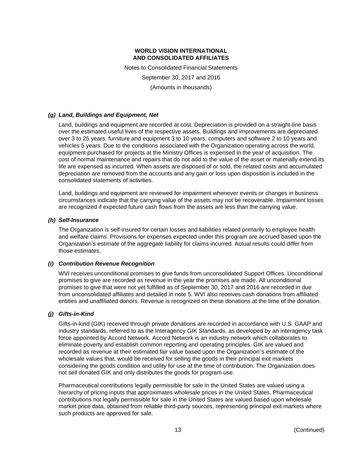Notes to Consolidated Financial Statements

September 30, 2017 and 2016 (Amounts in thousands)

# *(g) Land, Buildings and Equipment, Net*

Land, buildings and equipment are recorded at cost. Depreciation is provided on a straight-line basis over the estimated useful lives of the respective assets. Buildings and improvements are depreciated over 3 to 25 years, furniture and equipment 3 to 10 years, computers and software 2 to 10 years and vehicles 5 years. Due to the conditions associated with the Organization operating across the world, equipment purchased for projects at the Ministry Offices is expensed in the year of acquisition. The cost of normal maintenance and repairs that do not add to the value of the asset or materially extend its life are expensed as incurred. When assets are disposed of or sold, the related costs and accumulated depreciation are removed from the accounts and any gain or loss upon disposition is included in the consolidated statements of activities.

Land, buildings and equipment are reviewed for impairment whenever events or changes in business circumstances indicate that the carrying value of the assets may not be recoverable. Impairment losses are recognized if expected future cash flows from the assets are less than the carrying value.

### *(h) Self-Insurance*

The Organization is self-insured for certain losses and liabilities related primarily to employee health and welfare claims. Provisions for expenses expected under this program are accrued based upon the Organization's estimate of the aggregate liability for claims incurred. Actual results could differ from those estimates.

# *(i) Contribution Revenue Recognition*

WVI receives unconditional promises to give funds from unconsolidated Support Offices. Unconditional promises to give are recorded as revenue in the year the promises are made. All unconditional promises to give that were not yet fulfilled as of September 30, 2017 and 2016 are recorded in due from unconsolidated affiliates and detailed in note 5. WVI also receives cash donations from affiliated entities and unaffiliated donors. Revenue is recognized on these donations at the time of the donation.

### *(j) Gifts-in-Kind*

Gifts-in-kind (GIK) received through private donations are recorded in accordance with U.S. GAAP and industry standards, referred to as the Interagency GIK Standards, as developed by an interagency task force appointed by Accord Network. Accord Network is an industry network which collaborates to eliminate poverty and establish common reporting and operating principles. GIK are valued and recorded as revenue at their estimated fair value based upon the Organization's estimate of the wholesale values that, would be received for selling the goods in their principal exit markets considering the goods condition and utility for use at the time of contribution. The Organization does not sell donated GIK and only distributes the goods for program use.

Pharmaceutical contributions legally permissible for sale in the United States are valued using a hierarchy of pricing inputs that approximates wholesale prices in the United States. Pharmaceutical contributions not legally permissible for sale in the United States are valued based upon wholesale market price data, obtained from reliable third-party sources, representing principal exit markets where such products are approved for sale.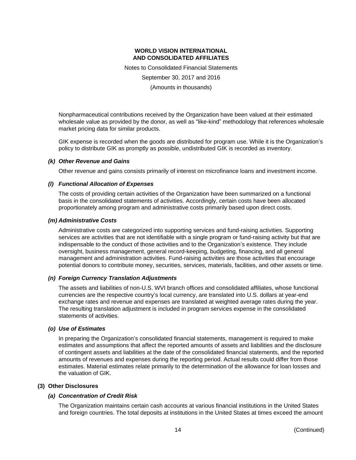Notes to Consolidated Financial Statements

September 30, 2017 and 2016

(Amounts in thousands)

Nonpharmaceutical contributions received by the Organization have been valued at their estimated wholesale value as provided by the donor, as well as "like-kind" methodology that references wholesale market pricing data for similar products.

GIK expense is recorded when the goods are distributed for program use. While it is the Organization's policy to distribute GIK as promptly as possible, undistributed GIK is recorded as inventory.

### *(k) Other Revenue and Gains*

Other revenue and gains consists primarily of interest on microfinance loans and investment income.

### *(l) Functional Allocation of Expenses*

The costs of providing certain activities of the Organization have been summarized on a functional basis in the consolidated statements of activities. Accordingly, certain costs have been allocated proportionately among program and administrative costs primarily based upon direct costs.

### *(m) Administrative Costs*

Administrative costs are categorized into supporting services and fund-raising activities. Supporting services are activities that are not identifiable with a single program or fund-raising activity but that are indispensable to the conduct of those activities and to the Organization's existence. They include oversight, business management, general record-keeping, budgeting, financing, and all general management and administration activities. Fund-raising activities are those activities that encourage potential donors to contribute money, securities, services, materials, facilities, and other assets or time.

# *(n) Foreign Currency Translation Adjustments*

The assets and liabilities of non-U.S. WVI branch offices and consolidated affiliates, whose functional currencies are the respective country's local currency, are translated into U.S. dollars at year-end exchange rates and revenue and expenses are translated at weighted average rates during the year. The resulting translation adjustment is included in program services expense in the consolidated statements of activities.

### *(o) Use of Estimates*

In preparing the Organization's consolidated financial statements, management is required to make estimates and assumptions that affect the reported amounts of assets and liabilities and the disclosure of contingent assets and liabilities at the date of the consolidated financial statements, and the reported amounts of revenues and expenses during the reporting period. Actual results could differ from those estimates. Material estimates relate primarily to the determination of the allowance for loan losses and the valuation of GIK.

# **(3) Other Disclosures**

# *(a) Concentration of Credit Risk*

The Organization maintains certain cash accounts at various financial institutions in the United States and foreign countries. The total deposits at institutions in the United States at times exceed the amount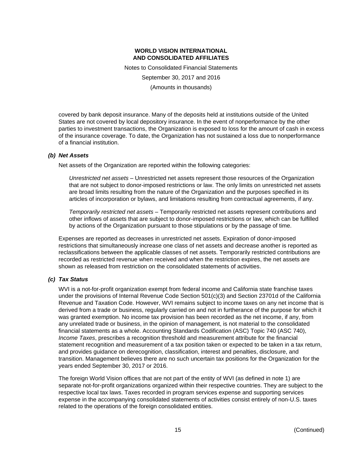Notes to Consolidated Financial Statements

September 30, 2017 and 2016 (Amounts in thousands)

covered by bank deposit insurance. Many of the deposits held at institutions outside of the United States are not covered by local depository insurance. In the event of nonperformance by the other parties to investment transactions, the Organization is exposed to loss for the amount of cash in excess of the insurance coverage. To date, the Organization has not sustained a loss due to nonperformance of a financial institution.

# *(b) Net Assets*

Net assets of the Organization are reported within the following categories:

*Unrestricted net assets* – Unrestricted net assets represent those resources of the Organization that are not subject to donor-imposed restrictions or law. The only limits on unrestricted net assets are broad limits resulting from the nature of the Organization and the purposes specified in its articles of incorporation or bylaws, and limitations resulting from contractual agreements, if any.

*Temporarily restricted net assets* – Temporarily restricted net assets represent contributions and other inflows of assets that are subject to donor-imposed restrictions or law, which can be fulfilled by actions of the Organization pursuant to those stipulations or by the passage of time.

Expenses are reported as decreases in unrestricted net assets. Expiration of donor-imposed restrictions that simultaneously increase one class of net assets and decrease another is reported as reclassifications between the applicable classes of net assets. Temporarily restricted contributions are recorded as restricted revenue when received and when the restriction expires, the net assets are shown as released from restriction on the consolidated statements of activities.

# *(c) Tax Status*

WVI is a not-for-profit organization exempt from federal income and California state franchise taxes under the provisions of Internal Revenue Code Section 501(c)(3) and Section 23701d of the California Revenue and Taxation Code. However, WVI remains subject to income taxes on any net income that is derived from a trade or business, regularly carried on and not in furtherance of the purpose for which it was granted exemption. No income tax provision has been recorded as the net income, if any, from any unrelated trade or business, in the opinion of management, is not material to the consolidated financial statements as a whole. Accounting Standards Codification (ASC) Topic 740 (ASC 740), *Income Taxes*, prescribes a recognition threshold and measurement attribute for the financial statement recognition and measurement of a tax position taken or expected to be taken in a tax return, and provides guidance on derecognition, classification, interest and penalties, disclosure, and transition. Management believes there are no such uncertain tax positions for the Organization for the years ended September 30, 2017 or 2016.

The foreign World Vision offices that are not part of the entity of WVI (as defined in note 1) are separate not-for-profit organizations organized within their respective countries. They are subject to the respective local tax laws. Taxes recorded in program services expense and supporting services expense in the accompanying consolidated statements of activities consist entirely of non-U.S. taxes related to the operations of the foreign consolidated entities.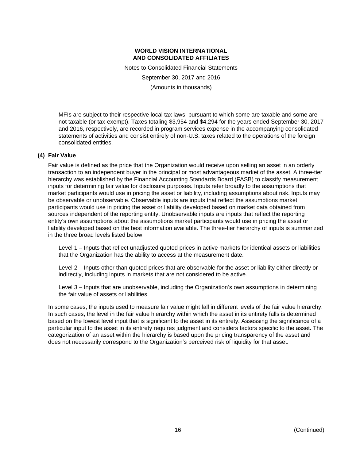Notes to Consolidated Financial Statements

September 30, 2017 and 2016

(Amounts in thousands)

MFIs are subject to their respective local tax laws, pursuant to which some are taxable and some are not taxable (or tax-exempt). Taxes totaling \$3,954 and \$4,294 for the years ended September 30, 2017 and 2016, respectively, are recorded in program services expense in the accompanying consolidated statements of activities and consist entirely of non-U.S. taxes related to the operations of the foreign consolidated entities.

# **(4) Fair Value**

Fair value is defined as the price that the Organization would receive upon selling an asset in an orderly transaction to an independent buyer in the principal or most advantageous market of the asset. A three-tier hierarchy was established by the Financial Accounting Standards Board (FASB) to classify measurement inputs for determining fair value for disclosure purposes. Inputs refer broadly to the assumptions that market participants would use in pricing the asset or liability, including assumptions about risk. Inputs may be observable or unobservable. Observable inputs are inputs that reflect the assumptions market participants would use in pricing the asset or liability developed based on market data obtained from sources independent of the reporting entity. Unobservable inputs are inputs that reflect the reporting entity's own assumptions about the assumptions market participants would use in pricing the asset or liability developed based on the best information available. The three-tier hierarchy of inputs is summarized in the three broad levels listed below:

Level 1 – Inputs that reflect unadjusted quoted prices in active markets for identical assets or liabilities that the Organization has the ability to access at the measurement date.

Level 2 – Inputs other than quoted prices that are observable for the asset or liability either directly or indirectly, including inputs in markets that are not considered to be active.

Level 3 – Inputs that are unobservable, including the Organization's own assumptions in determining the fair value of assets or liabilities.

In some cases, the inputs used to measure fair value might fall in different levels of the fair value hierarchy. In such cases, the level in the fair value hierarchy within which the asset in its entirety falls is determined based on the lowest level input that is significant to the asset in its entirety. Assessing the significance of a particular input to the asset in its entirety requires judgment and considers factors specific to the asset. The categorization of an asset within the hierarchy is based upon the pricing transparency of the asset and does not necessarily correspond to the Organization's perceived risk of liquidity for that asset.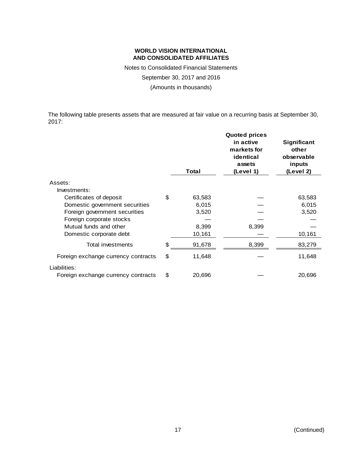Notes to Consolidated Financial Statements

September 30, 2017 and 2016

(Amounts in thousands)

The following table presents assets that are measured at fair value on a recurring basis at September 30, 2017:

|                                     | Total        | <b>Quoted prices</b><br>in active<br>markets for<br>identical<br>assets<br>(Level 1) | Significant<br>other<br>observable<br>inputs<br>(Level 2) |
|-------------------------------------|--------------|--------------------------------------------------------------------------------------|-----------------------------------------------------------|
| Assets:                             |              |                                                                                      |                                                           |
| Investments:                        |              |                                                                                      |                                                           |
| Certificates of deposit             | \$<br>63,583 |                                                                                      | 63,583                                                    |
| Domestic government securities      | 6,015        |                                                                                      | 6,015                                                     |
| Foreign government securities       | 3,520        |                                                                                      | 3,520                                                     |
| Foreign corporate stocks            |              |                                                                                      |                                                           |
| Mutual funds and other              | 8,399        | 8,399                                                                                |                                                           |
| Domestic corporate debt             | 10,161       |                                                                                      | 10,161                                                    |
| Total investments                   | \$<br>91,678 | 8,399                                                                                | 83,279                                                    |
| Foreign exchange currency contracts | \$<br>11,648 |                                                                                      | 11,648                                                    |
| Liabilities:                        |              |                                                                                      |                                                           |
| Foreign exchange currency contracts | \$<br>20,696 |                                                                                      | 20,696                                                    |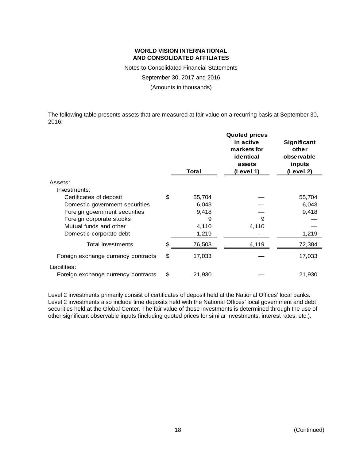Notes to Consolidated Financial Statements

September 30, 2017 and 2016

(Amounts in thousands)

The following table presents assets that are measured at fair value on a recurring basis at September 30, 2016:

|                                     | <b>Total</b> | <b>Quoted prices</b><br>in active<br>markets for<br>identical<br>assets<br>(Level 1) | Significant<br>other<br>observable<br>inputs<br>(Level 2) |
|-------------------------------------|--------------|--------------------------------------------------------------------------------------|-----------------------------------------------------------|
| Assets:                             |              |                                                                                      |                                                           |
| Investments:                        |              |                                                                                      |                                                           |
| Certificates of deposit             | \$<br>55,704 |                                                                                      | 55,704                                                    |
| Domestic government securities      | 6,043        |                                                                                      | 6,043                                                     |
| Foreign government securities       | 9,418        |                                                                                      | 9,418                                                     |
| Foreign corporate stocks            | 9            | 9                                                                                    |                                                           |
| Mutual funds and other              | 4,110        | 4,110                                                                                |                                                           |
| Domestic corporate debt             | 1,219        |                                                                                      | 1,219                                                     |
| Total investments                   | \$<br>76,503 | 4,119                                                                                | 72,384                                                    |
| Foreign exchange currency contracts | \$<br>17,033 |                                                                                      | 17,033                                                    |
| Liabilities:                        |              |                                                                                      |                                                           |
| Foreign exchange currency contracts | \$<br>21,930 |                                                                                      | 21,930                                                    |

Level 2 investments primarily consist of certificates of deposit held at the National Offices' local banks. Level 2 investments also include time deposits held with the National Offices' local government and debt securities held at the Global Center. The fair value of these investments is determined through the use of other significant observable inputs (including quoted prices for similar investments, interest rates, etc.).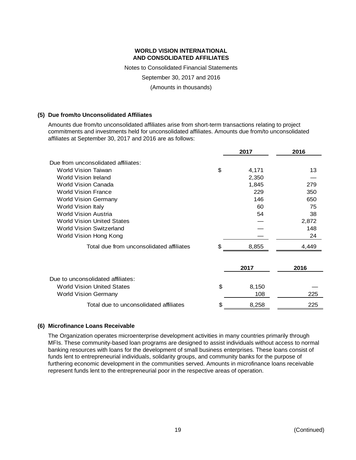Notes to Consolidated Financial Statements

September 30, 2017 and 2016

(Amounts in thousands)

### **(5) Due from/to Unconsolidated Affiliates**

Amounts due from/to unconsolidated affiliates arise from short-term transactions relating to project commitments and investments held for unconsolidated affiliates. Amounts due from/to unconsolidated affiliates at September 30, 2017 and 2016 are as follows:

|                                                | 2017  | 2016  |
|------------------------------------------------|-------|-------|
| Due from unconsolidated affiliates:            |       |       |
| \$<br>World Vision Taiwan                      | 4,171 | 13    |
| World Vision Ireland                           | 2,350 |       |
| <b>World Vision Canada</b>                     | 1,845 | 279   |
| <b>World Vision France</b>                     | 229   | 350   |
| <b>World Vision Germany</b>                    | 146   | 650   |
| World Vision Italy                             | 60    | 75    |
| <b>World Vision Austria</b>                    | 54    | 38    |
| <b>World Vision United States</b>              |       | 2,872 |
| <b>World Vision Switzerland</b>                |       | 148   |
| World Vision Hong Kong                         |       | 24    |
| \$<br>Total due from unconsolidated affiliates | 8,855 | 4,449 |
|                                                | 2017  | 2016  |
| Due to unconsolidated affiliates:              |       |       |
| \$<br><b>World Vision United States</b>        | 8,150 |       |
| World Vision Germany                           | 108   | 225   |
| \$<br>Total due to unconsolidated affiliates   | 8,258 | 225   |

### **(6) Microfinance Loans Receivable**

The Organization operates microenterprise development activities in many countries primarily through MFIs. These community-based loan programs are designed to assist individuals without access to normal banking resources with loans for the development of small business enterprises. These loans consist of funds lent to entrepreneurial individuals, solidarity groups, and community banks for the purpose of furthering economic development in the communities served. Amounts in microfinance loans receivable represent funds lent to the entrepreneurial poor in the respective areas of operation.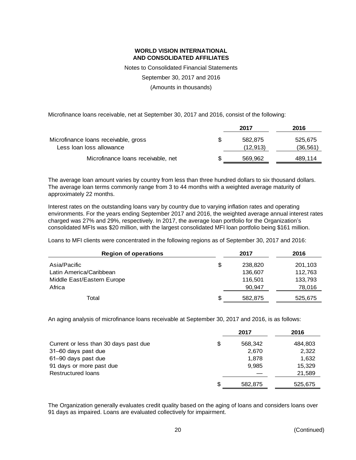Notes to Consolidated Financial Statements

September 30, 2017 and 2016

(Amounts in thousands)

Microfinance loans receivable, net at September 30, 2017 and 2016, consist of the following:

|                                                                  |     | 2017                 | 2016                 |
|------------------------------------------------------------------|-----|----------------------|----------------------|
| Microfinance Ioans receivable, gross<br>Less loan loss allowance | \$. | 582.875<br>(12, 913) | 525.675<br>(36, 561) |
| Microfinance Ioans receivable, net                               |     | 569,962              | 489,114              |

The average loan amount varies by country from less than three hundred dollars to six thousand dollars. The average loan terms commonly range from 3 to 44 months with a weighted average maturity of approximately 22 months.

Interest rates on the outstanding loans vary by country due to varying inflation rates and operating environments. For the years ending September 2017 and 2016, the weighted average annual interest rates charged was 27% and 29%, respectively. In 2017, the average loan portfolio for the Organization's consolidated MFIs was \$20 million, with the largest consolidated MFI loan portfolio being \$161 million.

Loans to MFI clients were concentrated in the following regions as of September 30, 2017 and 2016:

| <b>Region of operations</b> |    | 2017    | 2016    |
|-----------------------------|----|---------|---------|
| Asia/Pacific                | \$ | 238,820 | 201,103 |
| Latin America/Caribbean     |    | 136,607 | 112,763 |
| Middle East/Eastern Europe  |    | 116.501 | 133,793 |
| Africa                      |    | 90,947  | 78,016  |
| Total                       | S  | 582,875 | 525,675 |

An aging analysis of microfinance loans receivable at September 30, 2017 and 2016, is as follows:

|                                       |    | 2017    | 2016    |
|---------------------------------------|----|---------|---------|
| Current or less than 30 days past due | \$ | 568,342 | 484,803 |
| 31-60 days past due                   |    | 2,670   | 2,322   |
| 61-90 days past due                   |    | 1.878   | 1,632   |
| 91 days or more past due              |    | 9.985   | 15,329  |
| <b>Restructured loans</b>             |    |         | 21,589  |
|                                       | S  | 582.875 | 525,675 |

The Organization generally evaluates credit quality based on the aging of loans and considers loans over 91 days as impaired. Loans are evaluated collectively for impairment.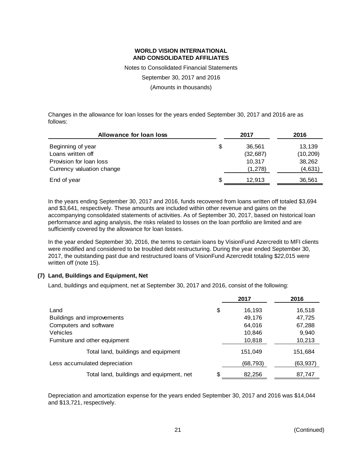Notes to Consolidated Financial Statements

September 30, 2017 and 2016

(Amounts in thousands)

Changes in the allowance for loan losses for the years ended September 30, 2017 and 2016 are as follows:

| Allowance for loan loss   |    | 2017      | 2016      |
|---------------------------|----|-----------|-----------|
| Beginning of year         | \$ | 36.561    | 13,139    |
| Loans written off         |    | (32, 687) | (10, 209) |
| Provision for loan loss   |    | 10,317    | 38,262    |
| Currency valuation change |    | (1,278)   | (4,631)   |
| End of year               | S  | 12.913    | 36,561    |

In the years ending September 30, 2017 and 2016, funds recovered from loans written off totaled \$3,694 and \$3,641, respectively. These amounts are included within other revenue and gains on the accompanying consolidated statements of activities. As of September 30, 2017, based on historical loan performance and aging analysis, the risks related to losses on the loan portfolio are limited and are sufficiently covered by the allowance for loan losses.

In the year ended September 30, 2016, the terms to certain loans by VisionFund Azercredit to MFI clients were modified and considered to be troubled debt restructuring. During the year ended September 30, 2017, the outstanding past due and restructured loans of VisionFund Azercredit totaling \$22,015 were written off (note 15).

# **(7) Land, Buildings and Equipment, Net**

Land, buildings and equipment, net at September 30, 2017 and 2016, consist of the following:

|                                          |    | 2017      | 2016      |
|------------------------------------------|----|-----------|-----------|
| Land                                     | \$ | 16,193    | 16,518    |
| Buildings and improvements               |    | 49,176    | 47,725    |
| Computers and software                   |    | 64,016    | 67,288    |
| <b>Vehicles</b>                          |    | 10,846    | 9,940     |
| Furniture and other equipment            |    | 10,818    | 10,213    |
| Total land, buildings and equipment      |    | 151,049   | 151,684   |
| Less accumulated depreciation            |    | (68, 793) | (63, 937) |
| Total land, buildings and equipment, net | S  | 82,256    | 87,747    |

Depreciation and amortization expense for the years ended September 30, 2017 and 2016 was \$14,044 and \$13,721, respectively.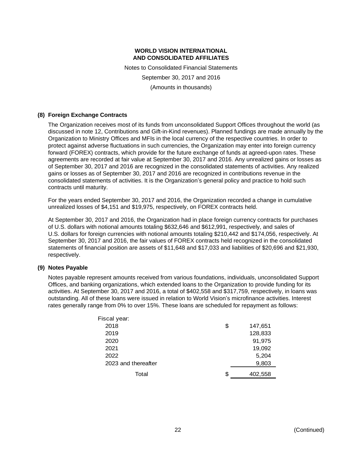Notes to Consolidated Financial Statements

September 30, 2017 and 2016 (Amounts in thousands)

# **(8) Foreign Exchange Contracts**

The Organization receives most of its funds from unconsolidated Support Offices throughout the world (as discussed in note 12, Contributions and Gift-in-Kind revenues). Planned fundings are made annually by the Organization to Ministry Offices and MFIs in the local currency of the respective countries. In order to protect against adverse fluctuations in such currencies, the Organization may enter into foreign currency forward (FOREX) contracts, which provide for the future exchange of funds at agreed-upon rates. These agreements are recorded at fair value at September 30, 2017 and 2016. Any unrealized gains or losses as of September 30, 2017 and 2016 are recognized in the consolidated statements of activities. Any realized gains or losses as of September 30, 2017 and 2016 are recognized in contributions revenue in the consolidated statements of activities. It is the Organization's general policy and practice to hold such contracts until maturity.

For the years ended September 30, 2017 and 2016, the Organization recorded a change in cumulative unrealized losses of \$4,151 and \$19,975, respectively, on FOREX contracts held.

At September 30, 2017 and 2016, the Organization had in place foreign currency contracts for purchases of U.S. dollars with notional amounts totaling \$632,646 and \$612,991, respectively, and sales of U.S. dollars for foreign currencies with notional amounts totaling \$210,442 and \$174,056, respectively. At September 30, 2017 and 2016, the fair values of FOREX contracts held recognized in the consolidated statements of financial position are assets of \$11,648 and \$17,033 and liabilities of \$20,696 and \$21,930, respectively.

# **(9) Notes Payable**

Notes payable represent amounts received from various foundations, individuals, unconsolidated Support Offices, and banking organizations, which extended loans to the Organization to provide funding for its activities. At September 30, 2017 and 2016, a total of \$402,558 and \$317,759, respectively, in loans was outstanding. All of these loans were issued in relation to World Vision's microfinance activities. Interest rates generally range from 0% to over 15%. These loans are scheduled for repayment as follows:

| Fiscal year:        |               |
|---------------------|---------------|
| 2018                | \$<br>147,651 |
| 2019                | 128,833       |
| 2020                | 91,975        |
| 2021                | 19,092        |
| 2022                | 5,204         |
| 2023 and thereafter | 9,803         |
| Total               | \$<br>402,558 |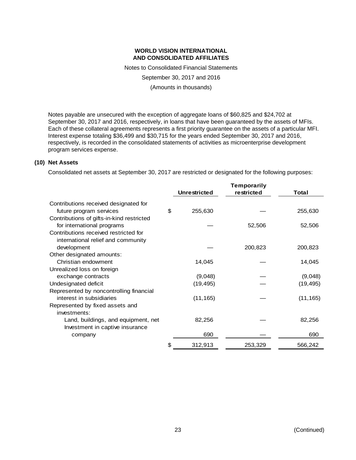Notes to Consolidated Financial Statements

September 30, 2017 and 2016

(Amounts in thousands)

Notes payable are unsecured with the exception of aggregate loans of \$60,825 and \$24,702 at September 30, 2017 and 2016, respectively, in loans that have been guaranteed by the assets of MFIs. Each of these collateral agreements represents a first priority guarantee on the assets of a particular MFI. Interest expense totaling \$36,499 and \$30,715 for the years ended September 30, 2017 and 2016, respectively, is recorded in the consolidated statements of activities as microenterprise development program services expense.

# **(10) Net Assets**

Consolidated net assets at September 30, 2017 are restricted or designated for the following purposes:

|                                           |                     | <b>Temporarily</b> |           |
|-------------------------------------------|---------------------|--------------------|-----------|
|                                           | <b>Unrestricted</b> | restricted         | Total     |
| Contributions received designated for     |                     |                    |           |
| future program services                   | \$<br>255,630       |                    | 255,630   |
| Contributions of gifts-in-kind restricted |                     |                    |           |
| for international programs                |                     | 52,506             | 52,506    |
| Contributions received restricted for     |                     |                    |           |
| international relief and community        |                     |                    |           |
| development                               |                     | 200,823            | 200,823   |
| Other designated amounts:                 |                     |                    |           |
| Christian endowment                       | 14,045              |                    | 14,045    |
| Unrealized loss on foreign                |                     |                    |           |
| exchange contracts                        | (9,048)             |                    | (9,048)   |
| Undesignated deficit                      | (19, 495)           |                    | (19, 495) |
| Represented by noncontrolling financial   |                     |                    |           |
| interest in subsidiaries                  | (11, 165)           |                    | (11, 165) |
| Represented by fixed assets and           |                     |                    |           |
| investments:                              |                     |                    |           |
| Land, buildings, and equipment, net       | 82,256              |                    | 82,256    |
| Investment in captive insurance           |                     |                    |           |
| company                                   | 690                 |                    | 690       |
|                                           | \$<br>312,913       | 253,329            | 566,242   |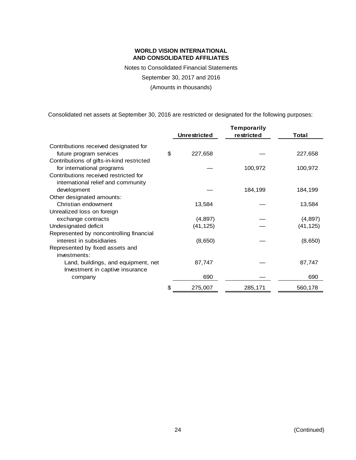Notes to Consolidated Financial Statements

September 30, 2017 and 2016

(Amounts in thousands)

Consolidated net assets at September 30, 2016 are restricted or designated for the following purposes:

|                                           |    |                     | <b>Temporarily</b> |           |
|-------------------------------------------|----|---------------------|--------------------|-----------|
|                                           |    | <b>Unrestricted</b> | restricted         | Total     |
| Contributions received designated for     |    |                     |                    |           |
| future program services                   | \$ | 227,658             |                    | 227,658   |
| Contributions of gifts-in-kind restricted |    |                     |                    |           |
| for international programs                |    |                     | 100,972            | 100,972   |
| Contributions received restricted for     |    |                     |                    |           |
| international relief and community        |    |                     |                    |           |
| development                               |    |                     | 184,199            | 184,199   |
| Other designated amounts:                 |    |                     |                    |           |
| Christian endowment                       |    | 13,584              |                    | 13,584    |
| Unrealized loss on foreign                |    |                     |                    |           |
| exchange contracts                        |    | (4, 897)            |                    | (4, 897)  |
| Undesignated deficit                      |    | (41, 125)           |                    | (41, 125) |
| Represented by noncontrolling financial   |    |                     |                    |           |
| interest in subsidiaries                  |    | (8,650)             |                    | (8,650)   |
| Represented by fixed assets and           |    |                     |                    |           |
| investments:                              |    |                     |                    |           |
| Land, buildings, and equipment, net       |    | 87,747              |                    | 87,747    |
| Investment in captive insurance           |    |                     |                    |           |
| company                                   |    | 690                 |                    | 690       |
|                                           | S  | 275,007             | 285,171            | 560,178   |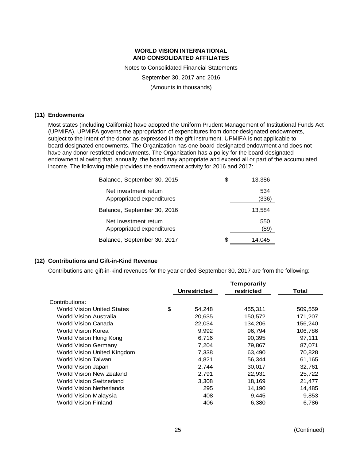Notes to Consolidated Financial Statements

September 30, 2017 and 2016 (Amounts in thousands)

### **(11) Endowments**

Most states (including California) have adopted the Uniform Prudent Management of Institutional Funds Act (UPMIFA). UPMIFA governs the appropriation of expenditures from donor-designated endowments, subject to the intent of the donor as expressed in the gift instrument. UPMIFA is not applicable to board-designated endowments. The Organization has one board-designated endowment and does not have any donor-restricted endowments. The Organization has a policy for the board-designated endowment allowing that, annually, the board may appropriate and expend all or part of the accumulated income. The following table provides the endowment activity for 2016 and 2017:

| Balance, September 30, 2015                        | S. | 13,386       |
|----------------------------------------------------|----|--------------|
| Net investment return<br>Appropriated expenditures |    | 534<br>(336) |
| Balance, September 30, 2016                        |    | 13,584       |
| Net investment return<br>Appropriated expenditures |    | 550<br>(89   |
| Balance, September 30, 2017                        | S  | 14.045       |

### **(12) Contributions and Gift-in-Kind Revenue**

Contributions and gift-in-kind revenues for the year ended September 30, 2017 are from the following:

|                                   | Unrestricted | restricted | Total   |
|-----------------------------------|--------------|------------|---------|
| Contributions:                    |              |            |         |
| <b>World Vision United States</b> | \$<br>54,248 | 455,311    | 509,559 |
| World Vision Australia            | 20,635       | 150,572    | 171,207 |
| World Vision Canada               | 22,034       | 134,206    | 156,240 |
| World Vision Korea                | 9,992        | 96,794     | 106,786 |
| World Vision Hong Kong            | 6,716        | 90,395     | 97,111  |
| <b>World Vision Germany</b>       | 7,204        | 79,867     | 87,071  |
| World Vision United Kingdom       | 7,338        | 63,490     | 70,828  |
| World Vision Taiwan               | 4,821        | 56,344     | 61,165  |
| World Vision Japan                | 2,744        | 30,017     | 32,761  |
| World Vision New Zealand          | 2,791        | 22,931     | 25,722  |
| World Vision Switzerland          | 3,308        | 18,169     | 21,477  |
| <b>World Vision Netherlands</b>   | 295          | 14,190     | 14,485  |
| World Vision Malaysia             | 408          | 9,445      | 9,853   |
| World Vision Finland              | 406          | 6,380      | 6.786   |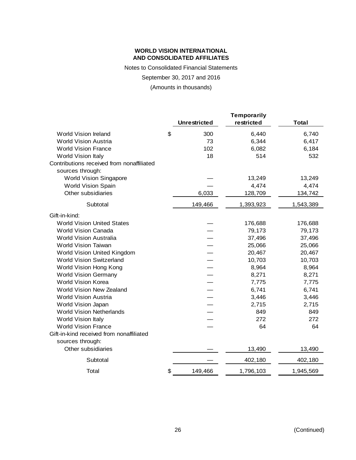Notes to Consolidated Financial Statements

September 30, 2017 and 2016

(Amounts in thousands)

|                                           |                     | <b>Temporarily</b> |              |
|-------------------------------------------|---------------------|--------------------|--------------|
|                                           | <b>Unrestricted</b> | restricted         | <b>Total</b> |
| World Vision Ireland                      | \$<br>300           | 6,440              | 6,740        |
| <b>World Vision Austria</b>               | 73                  | 6,344              | 6,417        |
| <b>World Vision France</b>                | 102                 | 6,082              | 6,184        |
| World Vision Italy                        | 18                  | 514                | 532          |
| Contributions received from nonaffiliated |                     |                    |              |
| sources through:                          |                     |                    |              |
| World Vision Singapore                    |                     | 13,249             | 13,249       |
| World Vision Spain                        |                     | 4,474              | 4,474        |
| Other subsidiaries                        | 6,033               | 128,709            | 134,742      |
| Subtotal                                  | 149,466             | 1,393,923          | 1,543,389    |
| Gift-in-kind:                             |                     |                    |              |
| <b>World Vision United States</b>         |                     | 176,688            | 176,688      |
| World Vision Canada                       |                     | 79,173             | 79,173       |
| <b>World Vision Australia</b>             |                     | 37,496             | 37,496       |
| World Vision Taiwan                       |                     | 25,066             | 25,066       |
| World Vision United Kingdom               |                     | 20,467             | 20,467       |
| <b>World Vision Switzerland</b>           |                     | 10,703             | 10,703       |
| World Vision Hong Kong                    |                     | 8,964              | 8,964        |
| <b>World Vision Germany</b>               |                     | 8,271              | 8,271        |
| <b>World Vision Korea</b>                 |                     | 7,775              | 7,775        |
| World Vision New Zealand                  |                     | 6,741              | 6,741        |
| <b>World Vision Austria</b>               |                     | 3,446              | 3,446        |
| World Vision Japan                        |                     | 2,715              | 2,715        |
| <b>World Vision Netherlands</b>           |                     | 849                | 849          |
| World Vision Italy                        |                     | 272                | 272          |
| <b>World Vision France</b>                |                     | 64                 | 64           |
| Gift-in-kind received from nonaffiliated  |                     |                    |              |
| sources through:                          |                     |                    |              |
| Other subsidiaries                        |                     | 13,490             | 13,490       |
| Subtotal                                  |                     | 402,180            | 402,180      |
| Total                                     | \$<br>149,466       | 1,796,103          | 1,945,569    |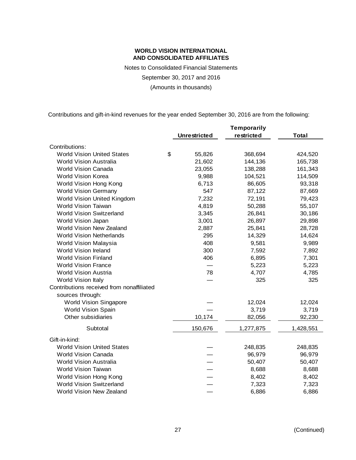Notes to Consolidated Financial Statements

September 30, 2017 and 2016

(Amounts in thousands)

Contributions and gift-in-kind revenues for the year ended September 30, 2016 are from the following:

|                                           |                     | <b>Temporarily</b> |              |
|-------------------------------------------|---------------------|--------------------|--------------|
|                                           | <b>Unrestricted</b> | restricted         | <b>Total</b> |
| Contributions:                            |                     |                    |              |
| \$<br><b>World Vision United States</b>   | 55,826              | 368,694            | 424,520      |
| World Vision Australia                    | 21,602              | 144,136            | 165,738      |
| World Vision Canada                       | 23,055              | 138,288            | 161,343      |
| World Vision Korea                        | 9,988               | 104,521            | 114,509      |
| World Vision Hong Kong                    | 6,713               | 86,605             | 93,318       |
| <b>World Vision Germany</b>               | 547                 | 87,122             | 87,669       |
| World Vision United Kingdom               | 7,232               | 72,191             | 79,423       |
| World Vision Taiwan                       | 4,819               | 50,288             | 55,107       |
| <b>World Vision Switzerland</b>           | 3,345               | 26,841             | 30,186       |
| World Vision Japan                        | 3,001               | 26,897             | 29,898       |
| World Vision New Zealand                  | 2,887               | 25,841             | 28,728       |
| <b>World Vision Netherlands</b>           | 295                 | 14,329             | 14,624       |
| World Vision Malaysia                     | 408                 | 9,581              | 9,989        |
| World Vision Ireland                      | 300                 | 7,592              | 7,892        |
| <b>World Vision Finland</b>               | 406                 | 6,895              | 7,301        |
| <b>World Vision France</b>                |                     | 5,223              | 5,223        |
| <b>World Vision Austria</b>               | 78                  | 4,707              | 4,785        |
| World Vision Italy                        |                     | 325                | 325          |
| Contributions received from nonaffiliated |                     |                    |              |
| sources through:                          |                     |                    |              |
| <b>World Vision Singapore</b>             |                     | 12,024             | 12,024       |
| World Vision Spain                        |                     | 3,719              | 3,719        |
| Other subsidiaries                        | 10,174              | 82,056             | 92,230       |
| Subtotal                                  | 150,676             | 1,277,875          | 1,428,551    |
| Gift-in-kind:                             |                     |                    |              |
| <b>World Vision United States</b>         |                     | 248,835            | 248,835      |
| <b>World Vision Canada</b>                |                     | 96,979             | 96,979       |
| <b>World Vision Australia</b>             |                     | 50,407             | 50,407       |
| <b>World Vision Taiwan</b>                |                     | 8,688              | 8,688        |
| World Vision Hong Kong                    |                     | 8,402              | 8,402        |
| <b>World Vision Switzerland</b>           |                     | 7,323              | 7,323        |
| World Vision New Zealand                  |                     | 6,886              | 6,886        |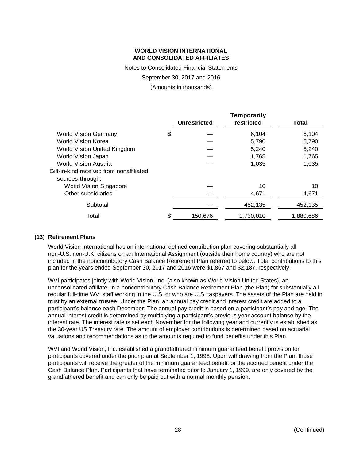Notes to Consolidated Financial Statements

September 30, 2017 and 2016

(Amounts in thousands)

|                                                              | <b>Temporarily</b> |                     |            |           |
|--------------------------------------------------------------|--------------------|---------------------|------------|-----------|
|                                                              |                    | <b>Unrestricted</b> | restricted | Total     |
| <b>World Vision Germany</b>                                  | \$                 |                     | 6,104      | 6,104     |
| World Vision Korea                                           |                    |                     | 5,790      | 5,790     |
| World Vision United Kingdom                                  |                    |                     | 5,240      | 5,240     |
| World Vision Japan                                           |                    |                     | 1,765      | 1,765     |
| World Vision Austria                                         |                    |                     | 1,035      | 1,035     |
| Gift-in-kind received from nonaffiliated<br>sources through: |                    |                     |            |           |
| <b>World Vision Singapore</b>                                |                    |                     | 10         | 10        |
| Other subsidiaries                                           |                    |                     | 4,671      | 4,671     |
| Subtotal                                                     |                    |                     | 452,135    | 452,135   |
| Total                                                        | \$                 | 150.676             | 1,730,010  | 1,880,686 |

### **(13) Retirement Plans**

World Vision International has an international defined contribution plan covering substantially all non-U.S. non-U.K. citizens on an International Assignment (outside their home country) who are not included in the noncontributory Cash Balance Retirement Plan referred to below. Total contributions to this plan for the years ended September 30, 2017 and 2016 were \$1,867 and \$2,187, respectively.

WVI participates jointly with World Vision, Inc. (also known as World Vision United States), an unconsolidated affiliate, in a noncontributory Cash Balance Retirement Plan (the Plan) for substantially all regular full-time WVI staff working in the U.S. or who are U.S. taxpayers. The assets of the Plan are held in trust by an external trustee. Under the Plan, an annual pay credit and interest credit are added to a participant's balance each December. The annual pay credit is based on a participant's pay and age. The annual interest credit is determined by multiplying a participant's previous year account balance by the interest rate. The interest rate is set each November for the following year and currently is established as the 30-year US Treasury rate. The amount of employer contributions is determined based on actuarial valuations and recommendations as to the amounts required to fund benefits under this Plan.

WVI and World Vision, Inc. established a grandfathered minimum guaranteed benefit provision for participants covered under the prior plan at September 1, 1998. Upon withdrawing from the Plan, those participants will receive the greater of the minimum guaranteed benefit or the accrued benefit under the Cash Balance Plan. Participants that have terminated prior to January 1, 1999, are only covered by the grandfathered benefit and can only be paid out with a normal monthly pension.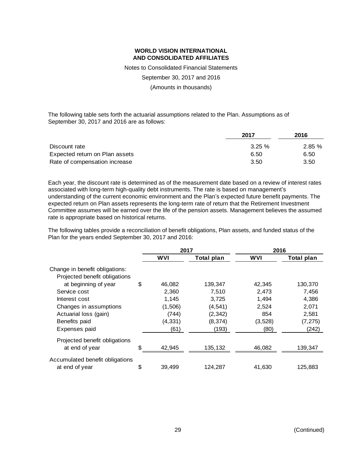Notes to Consolidated Financial Statements

September 30, 2017 and 2016

(Amounts in thousands)

The following table sets forth the actuarial assumptions related to the Plan. Assumptions as of September 30, 2017 and 2016 are as follows:

|                                | 2017      | 2016  |
|--------------------------------|-----------|-------|
| Discount rate                  | $3.25 \%$ | 2.85% |
| Expected return on Plan assets | 6.50      | 6.50  |
| Rate of compensation increase  | 3.50      | 3.50  |

Each year, the discount rate is determined as of the measurement date based on a review of interest rates associated with long-term high-quality debt instruments. The rate is based on management's understanding of the current economic environment and the Plan's expected future benefit payments. The expected return on Plan assets represents the long-term rate of return that the Retirement Investment Committee assumes will be earned over the life of the pension assets. Management believes the assumed rate is appropriate based on historical returns.

The following tables provide a reconciliation of benefit obligations, Plan assets, and funded status of the Plan for the years ended September 30, 2017 and 2016:

|                                 | 2017         |                   | 2016       |                   |
|---------------------------------|--------------|-------------------|------------|-------------------|
|                                 | <b>WVI</b>   | <b>Total plan</b> | <b>WVI</b> | <b>Total plan</b> |
| Change in benefit obligations:  |              |                   |            |                   |
| Projected benefit obligations   |              |                   |            |                   |
| at beginning of year            | \$<br>46,082 | 139,347           | 42,345     | 130,370           |
| Service cost                    | 2,360        | 7,510             | 2,473      | 7,456             |
| Interest cost                   | 1,145        | 3,725             | 1,494      | 4,386             |
| Changes in assumptions          | (1,506)      | (4, 541)          | 2,524      | 2,071             |
| Actuarial loss (gain)           | (744)        | (2, 342)          | 854        | 2,581             |
| Benefits paid                   | (4, 331)     | (8, 374)          | (3,528)    | (7, 275)          |
| Expenses paid                   | (61)         | (193)             | (80)       | (242)             |
| Projected benefit obligations   |              |                   |            |                   |
| at end of year                  | \$<br>42,945 | 135,132           | 46,082     | 139,347           |
| Accumulated benefit obligations |              |                   |            |                   |
| at end of year                  | \$<br>39,499 | 124,287           | 41,630     | 125,883           |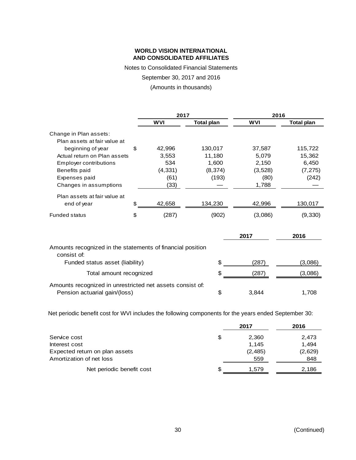Notes to Consolidated Financial Statements

September 30, 2017 and 2016

(Amounts in thousands)

|                              |     |          | 2017              |            | 2016              |
|------------------------------|-----|----------|-------------------|------------|-------------------|
|                              |     | WVI      | <b>Total plan</b> | <b>WVI</b> | <b>Total plan</b> |
| Change in Plan assets:       |     |          |                   |            |                   |
| Plan assets at fair value at |     |          |                   |            |                   |
| beginning of year            | \$  | 42,996   | 130,017           | 37,587     | 115,722           |
| Actual return on Plan assets |     | 3,553    | 11,180            | 5.079      | 15,362            |
| Employer contributions       |     | 534      | 1,600             | 2,150      | 6,450             |
| Benefits paid                |     | (4, 331) | (8,374)           | (3,528)    | (7, 275)          |
| Expenses paid                |     | (61)     | (193)             | (80)       | (242)             |
| Changes in assumptions       |     | (33)     |                   | 1,788      |                   |
| Plan assets at fair value at |     |          |                   |            |                   |
| end of year                  | \$. | 42,658   | 134,230           | 42,996     | 130,017           |
| <b>Funded status</b>         | \$  | (287)    | (902)             | (3,086)    | (9,330)           |

|                                                                                            |   | 2017  | 2016    |
|--------------------------------------------------------------------------------------------|---|-------|---------|
| Amounts recognized in the statements of financial position<br>consist of:                  |   |       |         |
| Funded status asset (liability)                                                            | S | (287) | (3,086) |
| Total amount recognized                                                                    | S | (287  | (3,086) |
| Amounts recognized in unrestricted net assets consist of:<br>Pension actuarial gain/(loss) |   | 3.844 | 1.708   |

Net periodic benefit cost for WVI includes the following components for the years ended September 30:

|                                |    | 2017     | 2016    |
|--------------------------------|----|----------|---------|
| Service cost                   | \$ | 2,360    | 2,473   |
| Interest cost                  |    | 1.145    | 1,494   |
| Expected return on plan assets |    | (2, 485) | (2,629) |
| Amortization of net loss       |    | 559      | 848     |
| Net periodic benefit cost      | S. | 1.579    | 2,186   |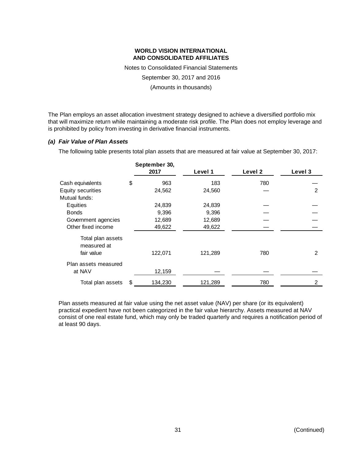Notes to Consolidated Financial Statements

September 30, 2017 and 2016

(Amounts in thousands)

The Plan employs an asset allocation investment strategy designed to achieve a diversified portfolio mix that will maximize return while maintaining a moderate risk profile. The Plan does not employ leverage and is prohibited by policy from investing in derivative financial instruments.

# *(a) Fair Value of Plan Assets*

The following table presents total plan assets that are measured at fair value at September 30, 2017:

|                                                | September 30, |         |         |         |
|------------------------------------------------|---------------|---------|---------|---------|
|                                                | 2017          | Level 1 | Level 2 | Level 3 |
| Cash equivalents                               | \$<br>963     | 183     | 780     |         |
| <b>Equity securities</b>                       | 24,562        | 24,560  |         | 2       |
| Mutual funds:                                  |               |         |         |         |
| Equities                                       | 24,839        | 24,839  |         |         |
| <b>Bonds</b>                                   | 9,396         | 9,396   |         |         |
| Government agencies                            | 12,689        | 12,689  |         |         |
| Other fixed income                             | 49,622        | 49,622  |         |         |
| Total plan assets<br>measured at<br>fair value | 122,071       | 121,289 | 780     | 2       |
| Plan assets measured<br>at NAV                 | 12,159        |         |         |         |
| Total plan assets                              | \$<br>134,230 | 121,289 | 780     | 2       |

Plan assets measured at fair value using the net asset value (NAV) per share (or its equivalent) practical expedient have not been categorized in the fair value hierarchy. Assets measured at NAV consist of one real estate fund, which may only be traded quarterly and requires a notification period of at least 90 days.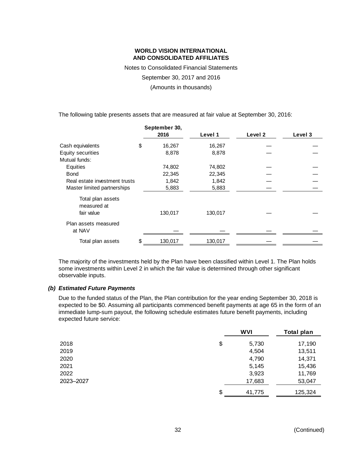Notes to Consolidated Financial Statements

September 30, 2017 and 2016

(Amounts in thousands)

The following table presents assets that are measured at fair value at September 30, 2016:

|                                                | September 30,<br>2016 | Level 1 | Level 2 | Level 3 |
|------------------------------------------------|-----------------------|---------|---------|---------|
| Cash equivalents                               | \$<br>16,267          | 16,267  |         |         |
| <b>Equity securities</b>                       | 8,878                 | 8,878   |         |         |
| Mutual funds:                                  |                       |         |         |         |
| Equities                                       | 74,802                | 74,802  |         |         |
| <b>Bond</b>                                    | 22,345                | 22,345  |         |         |
| Real estate investment trusts                  | 1,842                 | 1,842   |         |         |
| Master limited partnerships                    | 5,883                 | 5,883   |         |         |
| Total plan assets<br>measured at<br>fair value | 130,017               | 130,017 |         |         |
| Plan assets measured<br>at NAV                 |                       |         |         |         |
| Total plan assets                              | \$<br>130,017         | 130,017 |         |         |

The majority of the investments held by the Plan have been classified within Level 1. The Plan holds some investments within Level 2 in which the fair value is determined through other significant observable inputs.

### *(b) Estimated Future Payments*

Due to the funded status of the Plan, the Plan contribution for the year ending September 30, 2018 is expected to be \$0. Assuming all participants commenced benefit payments at age 65 in the form of an immediate lump-sum payout, the following schedule estimates future benefit payments, including expected future service:

|           | <b>WVI</b>   | <b>Total plan</b> |
|-----------|--------------|-------------------|
| 2018      | \$<br>5,730  | 17,190            |
| 2019      | 4,504        | 13,511            |
| 2020      | 4,790        | 14,371            |
| 2021      | 5,145        | 15,436            |
| 2022      | 3,923        | 11,769            |
| 2023-2027 | 17,683       | 53,047            |
|           | \$<br>41,775 | 125,324           |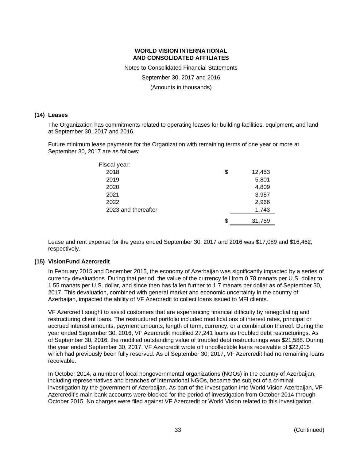Notes to Consolidated Financial Statements

September 30, 2017 and 2016

(Amounts in thousands)

### **(14) Leases**

The Organization has commitments related to operating leases for building facilities, equipment, and land at September 30, 2017 and 2016.

Future minimum lease payments for the Organization with remaining terms of one year or more at September 30, 2017 are as follows:

| Fiscal year:        |              |
|---------------------|--------------|
| 2018                | \$<br>12,453 |
| 2019                | 5,801        |
| 2020                | 4,809        |
| 2021                | 3,987        |
| 2022                | 2,966        |
| 2023 and thereafter | 1,743        |
|                     | \$<br>31,759 |

Lease and rent expense for the years ended September 30, 2017 and 2016 was \$17,089 and \$16,462, respectively.

### **(15) VisionFund Azercredit**

In February 2015 and December 2015, the economy of Azerbaijan was significantly impacted by a series of currency devaluations. During that period, the value of the currency fell from 0.78 manats per U.S. dollar to 1.55 manats per U.S. dollar, and since then has fallen further to 1.7 manats per dollar as of September 30, 2017. This devaluation, combined with general market and economic uncertainty in the country of Azerbaijan, impacted the ability of VF Azercredit to collect loans issued to MFI clients.

VF Azercredit sought to assist customers that are experiencing financial difficulty by renegotiating and restructuring client loans. The restructured portfolio included modifications of interest rates, principal or accrued interest amounts, payment amounts, length of term, currency, or a combination thereof. During the year ended September 30, 2016, VF Azercredit modified 27,241 loans as troubled debt restructurings. As of September 30, 2016, the modified outstanding value of troubled debt restructurings was \$21,588. During the year ended September 30, 2017, VF Azercredit wrote off uncollectible loans receivable of \$22,015 which had previously been fully reserved. As of September 30, 2017, VF Azercredit had no remaining loans receivable.

In October 2014, a number of local nongovernmental organizations (NGOs) in the country of Azerbaijan, including representatives and branches of international NGOs, became the subject of a criminal investigation by the government of Azerbaijan. As part of the investigation into World Vision Azerbaijan, VF Azercredit's main bank accounts were blocked for the period of investigation from October 2014 through October 2015. No charges were filed against VF Azercredit or World Vision related to this investigation.